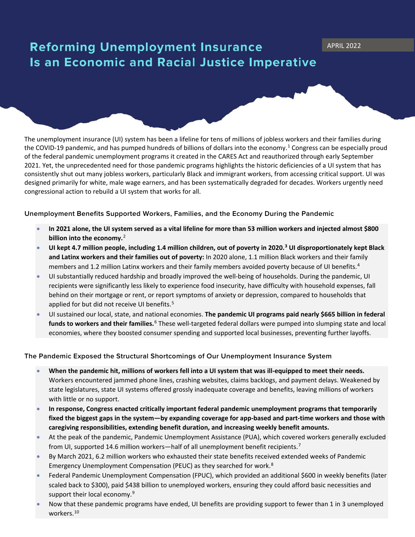## **Reforming Unemployment Insurance** Is an Economic and Racial Justice Imperative

The unemployment insurance (UI) system has been a lifeline for tens of millions of jobless workers and their families during the COVID-[1](#page-1-0)9 pandemic, and has pumped hundreds of billions of dollars into the economy.<sup>1</sup> Congress can be especially proud of the federal pandemic unemployment programs it created in the CARES Act and reauthorized through early September 2021. Yet, the unprecedented need for those pandemic programs highlights the historic deficiencies of a UI system that has consistently shut out many jobless workers, particularly Black and immigrant workers, from accessing critical support. UI was designed primarily for white, male wage earners, and has been systematically degraded for decades. Workers urgently need congressional action to rebuild a UI system that works for all.

**Unemployment Benefits Supported Workers, Families, and the Economy During the Pandemic** 

- **In 2021 alone, the UI system served as a vital lifeline for more than 53 million workers and injected almost \$800 billion into the economy.**[2](#page-1-1)
- **UI kept 4.7 million people, including 1.4 million children, out of poverty in 2020.[3](#page-1-2) UI disproportionately kept Black and Latinx workers and their families out of poverty:** In 2020 alone, 1.1 million Black workers and their family members and 1.2 million Latinx workers and their family members avoided poverty because of UI benefits.<sup>[4](#page-1-3)</sup>
- UI substantially reduced hardship and broadly improved the well-being of households. During the pandemic, UI recipients were significantly less likely to experience food insecurity, have difficulty with household expenses, fall behind on their mortgage or rent, or report symptoms of anxiety or depression, compared to households that applied for but did not receive UI benefits.<sup>[5](#page-1-4)</sup>
- UI sustained our local, state, and national economies. **The pandemic UI programs paid nearly \$665 billion in federal funds to workers and their families.**[6](#page-1-5) These well-targeted federal dollars were pumped into slumping state and local economies, where they boosted consumer spending and supported local businesses, preventing further layoffs.

## **The Pandemic Exposed the Structural Shortcomings of Our Unemployment Insurance System**

- **When the pandemic hit, millions of workers fell into a UI system that was ill-equipped to meet their needs.** Workers encountered jammed phone lines, crashing websites, claims backlogs, and payment delays. Weakened by state legislatures, state UI systems offered grossly inadequate coverage and benefits, leaving millions of workers with little or no support.
- **In response, Congress enacted critically important federal pandemic unemployment programs that temporarily fixed the biggest gaps in the system—by expanding coverage for app-based and part-time workers and those with caregiving responsibilities, extending benefit duration, and increasing weekly benefit amounts.**
- At the peak of the pandemic, Pandemic Unemployment Assistance (PUA), which covered workers generally excluded from UI, supported 14.6 million workers—half of all unemployment benefit recipients.<sup>[7](#page-1-6)</sup>
- By March 2021, 6.2 million workers who exhausted their state benefits received extended weeks of Pandemic Emergency Unemployment Compensation (PEUC) as they searched for work.<sup>[8](#page-1-7)</sup>
- Federal Pandemic Unemployment Compensation (FPUC), which provided an additional \$600 in weekly benefits (later scaled back to \$300), paid \$438 billion to unemployed workers, ensuring they could afford basic necessities and support their local economy.<sup>[9](#page-1-8)</sup>
- Now that these pandemic programs have ended, UI benefits are providing support to fewer than 1 in 3 unemployed workers.[10](#page-1-9)